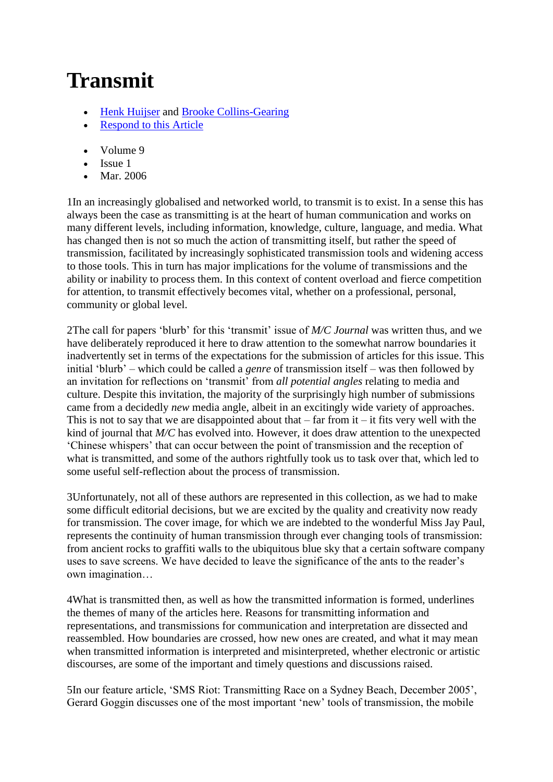# **Transmit**

- [Henk Huijser](http://journal.media-culture.org.au/journal/contributors_name_H.php#HuijserHenk) and [Brooke Collins-Gearing](http://journal.media-culture.org.au/journal/contributors_name_C.php#Collins-GearingBrooke)
- [Respond to this Article](http://journal.media-culture.org.au/journal/respond.php)
- Volume 9
- Issue 1
- Mar. 2006

1In an increasingly globalised and networked world, to transmit is to exist. In a sense this has always been the case as transmitting is at the heart of human communication and works on many different levels, including information, knowledge, culture, language, and media. What has changed then is not so much the action of transmitting itself, but rather the speed of transmission, facilitated by increasingly sophisticated transmission tools and widening access to those tools. This in turn has major implications for the volume of transmissions and the ability or inability to process them. In this context of content overload and fierce competition for attention, to transmit effectively becomes vital, whether on a professional, personal, community or global level.

2The call for papers "blurb" for this "transmit" issue of *M/C Journal* was written thus, and we have deliberately reproduced it here to draw attention to the somewhat narrow boundaries it inadvertently set in terms of the expectations for the submission of articles for this issue. This initial "blurb" – which could be called a *genre* of transmission itself – was then followed by an invitation for reflections on "transmit" from *all potential angles* relating to media and culture. Despite this invitation, the majority of the surprisingly high number of submissions came from a decidedly *new* media angle, albeit in an excitingly wide variety of approaches. This is not to say that we are disappointed about that  $-$  far from it  $-$  it fits very well with the kind of journal that *M/C* has evolved into. However, it does draw attention to the unexpected "Chinese whispers" that can occur between the point of transmission and the reception of what is transmitted, and some of the authors rightfully took us to task over that, which led to some useful self-reflection about the process of transmission.

3Unfortunately, not all of these authors are represented in this collection, as we had to make some difficult editorial decisions, but we are excited by the quality and creativity now ready for transmission. The cover image, for which we are indebted to the wonderful Miss Jay Paul, represents the continuity of human transmission through ever changing tools of transmission: from ancient rocks to graffiti walls to the ubiquitous blue sky that a certain software company uses to save screens. We have decided to leave the significance of the ants to the reader"s own imagination…

4What is transmitted then, as well as how the transmitted information is formed, underlines the themes of many of the articles here. Reasons for transmitting information and representations, and transmissions for communication and interpretation are dissected and reassembled. How boundaries are crossed, how new ones are created, and what it may mean when transmitted information is interpreted and misinterpreted, whether electronic or artistic discourses, are some of the important and timely questions and discussions raised.

5In our feature article, "SMS Riot: Transmitting Race on a Sydney Beach, December 2005", Gerard Goggin discusses one of the most important "new" tools of transmission, the mobile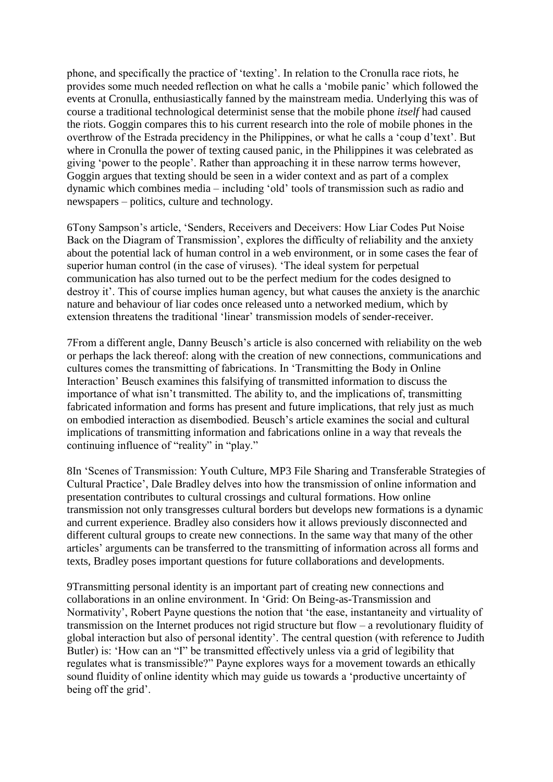phone, and specifically the practice of "texting". In relation to the Cronulla race riots, he provides some much needed reflection on what he calls a "mobile panic" which followed the events at Cronulla, enthusiastically fanned by the mainstream media. Underlying this was of course a traditional technological determinist sense that the mobile phone *itself* had caused the riots. Goggin compares this to his current research into the role of mobile phones in the overthrow of the Estrada precidency in the Philippines, or what he calls a "coup d"text". But where in Cronulla the power of texting caused panic, in the Philippines it was celebrated as giving "power to the people". Rather than approaching it in these narrow terms however, Goggin argues that texting should be seen in a wider context and as part of a complex dynamic which combines media – including "old" tools of transmission such as radio and newspapers – politics, culture and technology.

6Tony Sampson"s article, "Senders, Receivers and Deceivers: How Liar Codes Put Noise Back on the Diagram of Transmission", explores the difficulty of reliability and the anxiety about the potential lack of human control in a web environment, or in some cases the fear of superior human control (in the case of viruses). "The ideal system for perpetual communication has also turned out to be the perfect medium for the codes designed to destroy it'. This of course implies human agency, but what causes the anxiety is the anarchic nature and behaviour of liar codes once released unto a networked medium, which by extension threatens the traditional "linear" transmission models of sender-receiver.

7From a different angle, Danny Beusch"s article is also concerned with reliability on the web or perhaps the lack thereof: along with the creation of new connections, communications and cultures comes the transmitting of fabrications. In "Transmitting the Body in Online Interaction" Beusch examines this falsifying of transmitted information to discuss the importance of what isn"t transmitted. The ability to, and the implications of, transmitting fabricated information and forms has present and future implications, that rely just as much on embodied interaction as disembodied. Beusch"s article examines the social and cultural implications of transmitting information and fabrications online in a way that reveals the continuing influence of "reality" in "play."

8In "Scenes of Transmission: Youth Culture, MP3 File Sharing and Transferable Strategies of Cultural Practice", Dale Bradley delves into how the transmission of online information and presentation contributes to cultural crossings and cultural formations. How online transmission not only transgresses cultural borders but develops new formations is a dynamic and current experience. Bradley also considers how it allows previously disconnected and different cultural groups to create new connections. In the same way that many of the other articles" arguments can be transferred to the transmitting of information across all forms and texts, Bradley poses important questions for future collaborations and developments.

9Transmitting personal identity is an important part of creating new connections and collaborations in an online environment. In "Grid: On Being-as-Transmission and Normativity", Robert Payne questions the notion that "the ease, instantaneity and virtuality of transmission on the Internet produces not rigid structure but flow – a revolutionary fluidity of global interaction but also of personal identity". The central question (with reference to Judith Butler) is: 'How can an ''I'' be transmitted effectively unless via a grid of legibility that regulates what is transmissible?" Payne explores ways for a movement towards an ethically sound fluidity of online identity which may guide us towards a "productive uncertainty of being off the grid'.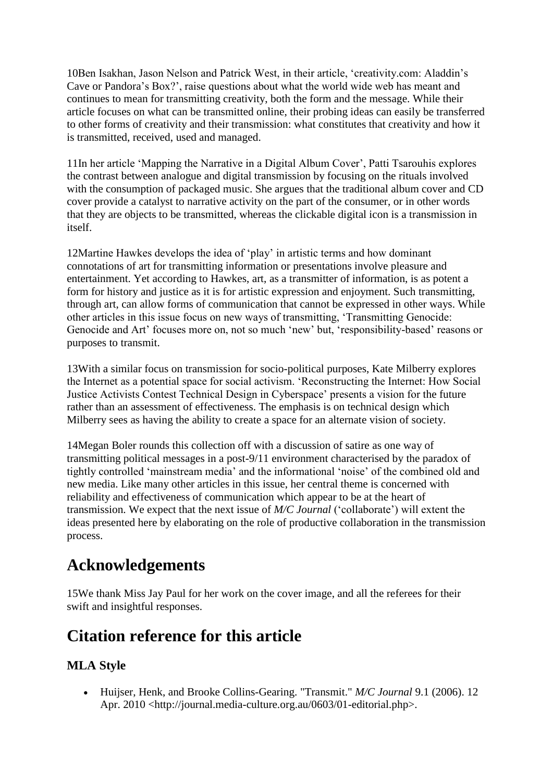10Ben Isakhan, Jason Nelson and Patrick West, in their article, "creativity.com: Aladdin"s Cave or Pandora"s Box?", raise questions about what the world wide web has meant and continues to mean for transmitting creativity, both the form and the message. While their article focuses on what can be transmitted online, their probing ideas can easily be transferred to other forms of creativity and their transmission: what constitutes that creativity and how it is transmitted, received, used and managed.

11In her article "Mapping the Narrative in a Digital Album Cover", Patti Tsarouhis explores the contrast between analogue and digital transmission by focusing on the rituals involved with the consumption of packaged music. She argues that the traditional album cover and CD cover provide a catalyst to narrative activity on the part of the consumer, or in other words that they are objects to be transmitted, whereas the clickable digital icon is a transmission in itself.

12Martine Hawkes develops the idea of "play" in artistic terms and how dominant connotations of art for transmitting information or presentations involve pleasure and entertainment. Yet according to Hawkes, art, as a transmitter of information, is as potent a form for history and justice as it is for artistic expression and enjoyment. Such transmitting, through art, can allow forms of communication that cannot be expressed in other ways. While other articles in this issue focus on new ways of transmitting, "Transmitting Genocide: Genocide and Art' focuses more on, not so much 'new' but, 'responsibility-based' reasons or purposes to transmit.

13With a similar focus on transmission for socio-political purposes, Kate Milberry explores the Internet as a potential space for social activism. "Reconstructing the Internet: How Social Justice Activists Contest Technical Design in Cyberspace" presents a vision for the future rather than an assessment of effectiveness. The emphasis is on technical design which Milberry sees as having the ability to create a space for an alternate vision of society.

14Megan Boler rounds this collection off with a discussion of satire as one way of transmitting political messages in a post-9/11 environment characterised by the paradox of tightly controlled "mainstream media" and the informational "noise" of the combined old and new media. Like many other articles in this issue, her central theme is concerned with reliability and effectiveness of communication which appear to be at the heart of transmission. We expect that the next issue of *M/C Journal* ("collaborate") will extent the ideas presented here by elaborating on the role of productive collaboration in the transmission process.

## **Acknowledgements**

15We thank Miss Jay Paul for her work on the cover image, and all the referees for their swift and insightful responses.

## **Citation reference for this article**

#### **MLA Style**

 Huijser, Henk, and Brooke Collins-Gearing. "Transmit." *M/C Journal* 9.1 (2006). 12 Apr. 2010 <http://journal.media-culture.org.au/0603/01-editorial.php>.